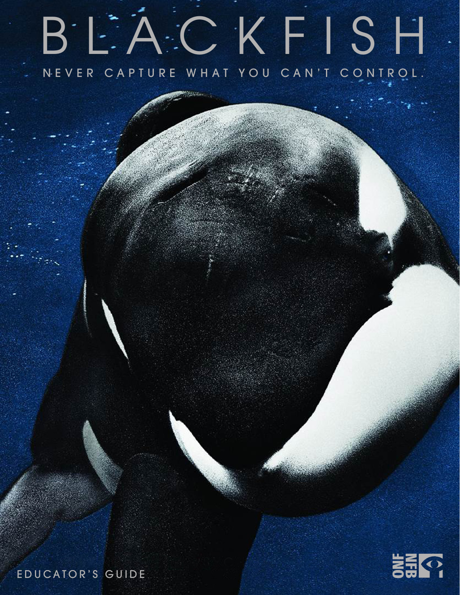# BLACKFISH NEVER CAPTURE WHAT YOU CAN'T CONTROL.

EDUCATOR'S GUIDE

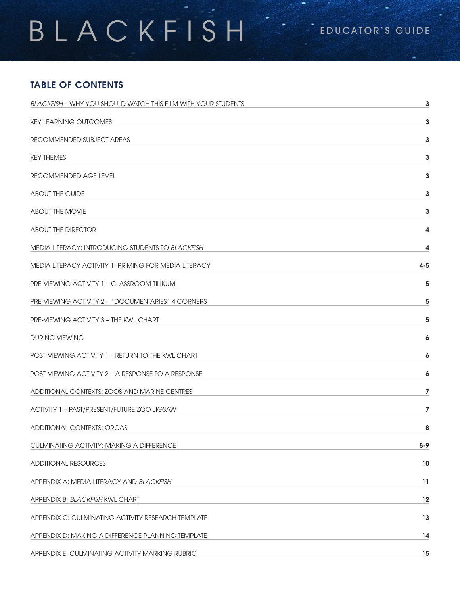# BLACKFISH<sup>"</sup>

## TABLE OF CONTENTS

| <b>BLACKFISH - WHY YOU SHOULD WATCH THIS FILM WITH YOUR STUDENTS</b> | 3       |
|----------------------------------------------------------------------|---------|
| <b>KEY LEARNING OUTCOMES</b>                                         | 3       |
| RECOMMENDED SUBJECT AREAS                                            | 3       |
| <b>KEY THEMES</b>                                                    | 3       |
| RECOMMENDED AGE LEVEL                                                | 3       |
| <b>ABOUT THE GUIDE</b>                                               | 3       |
| <b>ABOUT THE MOVIE</b>                                               | 3       |
| <b>ABOUT THE DIRECTOR</b>                                            | 4       |
| <b>MEDIA LITERACY: INTRODUCING STUDENTS TO BLACKFISH</b>             | 4       |
| MEDIA LITERACY ACTIVITY 1: PRIMING FOR MEDIA LITERACY                | $4 - 5$ |
| PRE-VIEWING ACTIVITY 1 - CLASSROOM TILIKUM                           | 5       |
| PRE-VIEWING ACTIVITY 2 - "DOCUMENTARIES" 4 CORNERS                   | 5       |
| PRE-VIEWING ACTIVITY 3 - THE KWL CHART                               | 5       |
| DURING VIEWING                                                       | 6       |
| <b>POST-VIEWING ACTIVITY 1 - RETURN TO THE KWL CHART</b>             | 6       |
| POST-VIEWING ACTIVITY 2 - A RESPONSE TO A RESPONSE                   | 6       |
| ADDITIONAL CONTEXTS: ZOOS AND MARINE CENTRES                         | 7       |
| ACTIVITY 1 - PAST/PRESENT/FUTURE ZOO JIGSAW                          | 7       |
| ADDITIONAL CONTEXTS: ORCAS                                           | 8       |
| <b>CULMINATING ACTIVITY: MAKING A DIFFERENCE</b>                     | $8 - 9$ |
| <b>ADDITIONAL RESOURCES</b>                                          | 10      |
| APPENDIX A: MEDIA LITERACY AND BLACKFISH                             | 11      |
| APPENDIX B: BLACKFISH KWL CHART                                      | 12      |
| APPENDIX C: CULMINATING ACTIVITY RESEARCH TEMPLATE                   | 13      |
| APPENDIX D: MAKING A DIFFERENCE PLANNING TEMPLATE                    | 14      |
| APPENDIX E: CULMINATING ACTIVITY MARKING RUBRIC                      | 15      |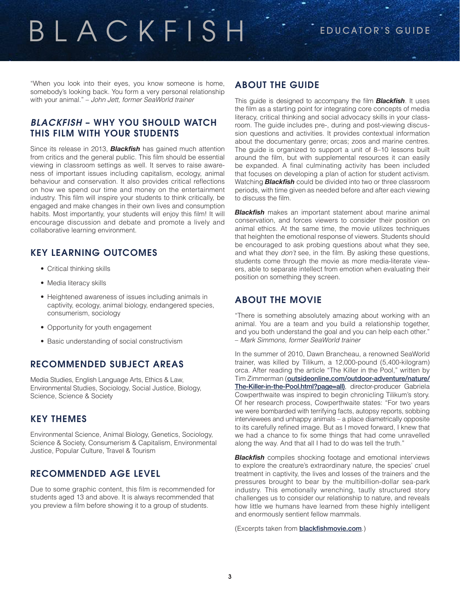"When you look into their eyes, you know someone is home, somebody's looking back. You form a very personal relationship with your animal." – *John Jett, former SeaWorld trainer*

### *BLACKFISH* – WHY YOU SHOULD WATCH THIS FILM WITH YOUR STUDENTS

Since its release in 2013, *Blackfish* has gained much attention from critics and the general public. This film should be essential viewing in classroom settings as well. It serves to raise awareness of important issues including capitalism, ecology, animal behaviour and conservation. It also provides critical reflections on how we spend our time and money on the entertainment industry. This film will inspire your students to think critically, be engaged and make changes in their own lives and consumption habits. Most importantly, your students will enjoy this film! It will encourage discussion and debate and promote a lively and collaborative learning environment.

## KEY LEARNING OUTCOMES

- Critical thinking skills
- Media literacy skills
- Heightened awareness of issues including animals in captivity, ecology, animal biology, endangered species, consumerism, sociology
- Opportunity for youth engagement
- Basic understanding of social constructivism

## RECOMMENDED SUBJECT AREAS

Media Studies, English Language Arts, Ethics & Law, Environmental Studies, Sociology, Social Justice, Biology, Science, Science & Society

## KEY THEMES

Environmental Science, Animal Biology, Genetics, Sociology, Science & Society, Consumerism & Capitalism, Environmental Justice, Popular Culture, Travel & Tourism

## RECOMMENDED AGE LEVEL

Due to some graphic content, this film is recommended for students aged 13 and above. It is always recommended that you preview a film before showing it to a group of students.

### ABOUT THE GUIDE

This guide is designed to accompany the film *Blackfish*. It uses the film as a starting point for integrating core concepts of media literacy, critical thinking and social advocacy skills in your classroom. The guide includes pre-, during and post-viewing discussion questions and activities. It provides contextual information about the documentary genre; orcas; zoos and marine centres. The guide is organized to support a unit of 8–10 lessons built around the film, but with supplemental resources it can easily be expanded. A final culminating activity has been included that focuses on developing a plan of action for student activism. Watching *Blackfish* could be divided into two or three classroom periods, with time given as needed before and after each viewing to discuss the film.

*Blackfish* makes an important statement about marine animal conservation, and forces viewers to consider their position on animal ethics. At the same time, the movie utilizes techniques that heighten the emotional response of viewers. Students should be encouraged to ask probing questions about what they see, and what they *don't* see, in the film. By asking these questions, students come through the movie as more media-literate viewers, able to separate intellect from emotion when evaluating their position on something they screen.

## ABOUT THE MOVIE

"There is something absolutely amazing about working with an animal. You are a team and you build a relationship together, and you both understand the goal and you can help each other." – *Mark Simmons, former SeaWorld trainer*

In the summer of 2010, Dawn Brancheau, a renowned SeaWorld trainer, was killed by Tilikum, a 12,000-pound (5,400-kilogram) orca. After reading the article "The Killer in the Pool," written by Tim Zimmerman ([outsideonline.com/outdoor-adventure/nature/](http://www.outsideonline.com/outdoor-adventure/nature/The-Killer-in-the-Pool.html?page=all) [The-Killer-in-the-Pool.html?page=all\)](http://www.outsideonline.com/outdoor-adventure/nature/The-Killer-in-the-Pool.html?page=all), director-producer Gabriela Cowperthwaite was inspired to begin chronicling Tilikum's story. Of her research process, Cowperthwaite states: "For two years we were bombarded with terrifying facts, autopsy reports, sobbing interviewees and unhappy animals – a place diametrically opposite to its carefully refined image. But as I moved forward, I knew that we had a chance to fix some things that had come unravelled along the way. And that all I had to do was tell the truth."

**Blackfish** compiles shocking footage and emotional interviews to explore the creature's extraordinary nature, the species' cruel treatment in captivity, the lives and losses of the trainers and the pressures brought to bear by the multibillion-dollar sea-park industry. This emotionally wrenching, tautly structured story challenges us to consider our relationship to nature, and reveals how little we humans have learned from these highly intelligent and enormously sentient fellow mammals.

(Excerpts taken from **[blackfishmovie.com](http://blackfishmovie.com/)**.)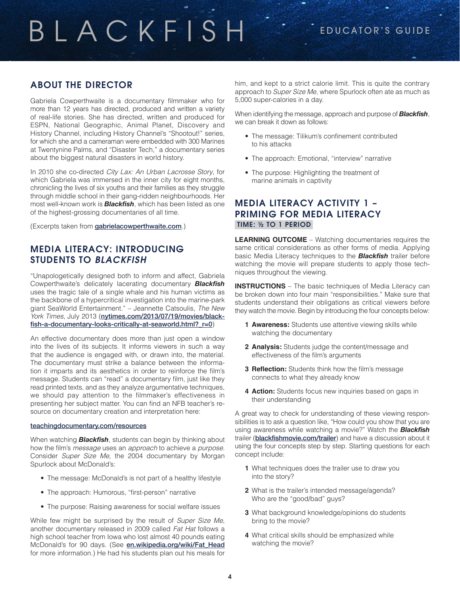## ABOUT THE DIRECTOR

Gabriela Cowperthwaite is a documentary filmmaker who for more than 12 years has directed, produced and written a variety of real-life stories. She has directed, written and produced for ESPN, National Geographic, Animal Planet, Discovery and History Channel, including History Channel's "Shootout!" series, for which she and a cameraman were embedded with 300 Marines at Twentynine Palms, and "Disaster Tech," a documentary series about the biggest natural disasters in world history.

In 2010 she co-directed *City Lax: An Urban Lacrosse Story*, for which Gabriela was immersed in the inner city for eight months, chronicling the lives of six youths and their families as they struggle through middle school in their gang-ridden neighbourhoods. Her most well-known work is *Blackfish*, which has been listed as one of the highest-grossing documentaries of all time.

(Excerpts taken from **[gabrielacowperthwaite.com](http://gabrielacowperthwaite.com)**.)

### MEDIA LITERACY: INTRODUCING STUDENTS TO *BLACKFISH*

"Unapologetically designed both to inform and affect, Gabriela Cowperthwaite's delicately lacerating documentary *Blackfish* uses the tragic tale of a single whale and his human victims as the backbone of a hypercritical investigation into the marine-park giant SeaWorld Entertainment." – Jeannette Catsoulis, *The New York Times*, July 2013 ([nytimes.com/2013/07/19/movies/black](http://www.nytimes.com/2013/07/19/movies/blackfish-a-documentary-looks-critically-at-seaworld.html?_r=0)[fish-a-documentary-looks-critically-at-seaworld.html?\\_r=0](http://www.nytimes.com/2013/07/19/movies/blackfish-a-documentary-looks-critically-at-seaworld.html?_r=0))

An effective documentary does more than just open a window into the lives of its subjects. It informs viewers in such a way that the audience is engaged with, or drawn into, the material. The documentary must strike a balance between the information it imparts and its aesthetics in order to reinforce the film's message. Students can "read" a documentary film, just like they read printed texts, and as they analyze argumentative techniques, we should pay attention to the filmmaker's effectiveness in presenting her subject matter. You can find an NFB teacher's resource on documentary creation and interpretation here:

#### [teachingdocumentary.com/resources](http://teachingdocumentary.com/resources/)

When watching *Blackfish*, students can begin by thinking about how the film's *message* uses an *approach* to achieve a *purpose*. Consider *Super Size Me*, the 2004 documentary by Morgan Spurlock about McDonald's:

- The message: McDonald's is not part of a healthy lifestyle
- The approach: Humorous, "first-person" narrative
- The purpose: Raising awareness for social welfare issues

While few might be surprised by the result of *Super Size Me*, another documentary released in 2009 called *Fat Hat* follows a high school teacher from Iowa who lost almost 40 pounds eating McDonald's for 90 days. (See [en.wikipedia.org/wiki/Fat\\_Head](en.wikipedia.org/wiki/Fat_Head) for more information.) He had his students plan out his meals for

him, and kept to a strict calorie limit. This is quite the contrary approach to *Super Size Me*, where Spurlock often ate as much as 5,000 super-calories in a day.

When identifying the message, approach and purpose of *Blackfish*, we can break it down as follows:

- The message: Tilikum's confinement contributed to his attacks
- The approach: Emotional, "interview" narrative
- The purpose: Highlighting the treatment of marine animals in captivity

### MEDIA LITERACY ACTIVITY 1 – PRIMING FOR MEDIA LITERACY TIME: ½ TO 1 PERIOD

**LEARNING OUTCOME** – Watching documentaries requires the same critical considerations as other forms of media. Applying basic Media Literacy techniques to the *Blackfish* trailer before watching the movie will prepare students to apply those techniques throughout the viewing.

**INSTRUCTIONS** – The basic techniques of Media Literacy can be broken down into four main "responsibilities." Make sure that students understand their obligations as critical viewers before they watch the movie. Begin by introducing the four concepts below:

- **1 Awareness:** Students use attentive viewing skills while watching the documentary
- **2 Analysis:** Students judge the content/message and effectiveness of the film's arguments
- **3 Reflection:** Students think how the film's message connects to what they already know
- **4 Action:** Students focus new inquiries based on gaps in their understanding

A great way to check for understanding of these viewing responsibilities is to ask a question like, "How could you show that you are using awareness while watching a movie?" Watch the *Blackfish* trailer ([blackfishmovie.com/trailer](http://blackfishmovie.com/trailer)) and have a discussion about it using the four concepts step by step. Starting questions for each concept include:

- **1** What techniques does the trailer use to draw you into the story?
- **2** What is the trailer's intended message/agenda? Who are the "good/bad" guys?
- **3** What background knowledge/opinions do students bring to the movie?
- **4** What critical skills should be emphasized while watching the movie?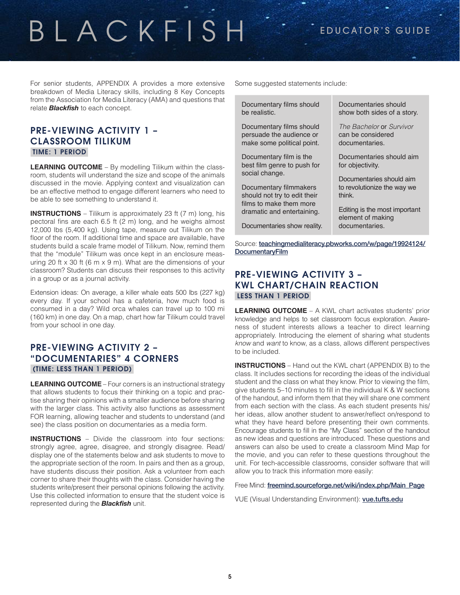## BLACKFISH<sup>"</sup> - EDUCATOR'S GUIDE

For senior students, APPENDIX A provides a more extensive breakdown of Media Literacy skills, including 8 Key Concepts from the Association for Media Literacy (AMA) and questions that relate *Blackfish* to each concept.

### PRE-VIEWING ACTIVITY 1 – CLASSROOM TILIKUM TIME: 1 PERIOD

**LEARNING OUTCOME** – By modelling Tilikum within the classroom, students will understand the size and scope of the animals discussed in the movie. Applying context and visualization can be an effective method to engage different learners who need to be able to see something to understand it.

**INSTRUCTIONS** – Tilikum is approximately 23 ft (7 m) long, his pectoral fins are each 6.5 ft (2 m) long, and he weighs almost 12,000 lbs (5,400 kg). Using tape, measure out Tilikum on the floor of the room. If additional time and space are available, have students build a scale frame model of Tilikum. Now, remind them that the "module" Tilikum was once kept in an enclosure measuring 20 ft  $x$  30 ft (6 m  $x$  9 m). What are the dimensions of your classroom? Students can discuss their responses to this activity in a group or as a journal activity.

Extension ideas: On average, a killer whale eats 500 lbs (227 kg) every day. If your school has a cafeteria, how much food is consumed in a day? Wild orca whales can travel up to 100 mi (160 km) in one day. On a map, chart how far Tilikum could travel from your school in one day.

### PRE-VIEWING ACTIVITY 2 – "DOCUMENTARIES" 4 CORNERS (TIME: LESS THAN 1 PERIOD)

**LEARNING OUTCOME** – Four corners is an instructional strategy that allows students to focus their thinking on a topic and practise sharing their opinions with a smaller audience before sharing with the larger class. This activity also functions as assessment FOR learning, allowing teacher and students to understand (and see) the class position on documentaries as a media form.

**INSTRUCTIONS** – Divide the classroom into four sections: strongly agree, agree, disagree, and strongly disagree. Read/ display one of the statements below and ask students to move to the appropriate section of the room. In pairs and then as a group, have students discuss their position. Ask a volunteer from each corner to share their thoughts with the class. Consider having the students write/present their personal opinions following the activity. Use this collected information to ensure that the student voice is represented during the *Blackfish* unit.

Some suggested statements include:

| Documentary films should<br>be realistic.                                          | Documentaries should<br>show both sides of a story.               |
|------------------------------------------------------------------------------------|-------------------------------------------------------------------|
| Documentary films should<br>persuade the audience or<br>make some political point. | The Bachelor or Survivor<br>can be considered<br>documentaries.   |
| Documentary film is the<br>best film genre to push for<br>social change.           | Documentaries should aim<br>for objectivity.                      |
| Documentary filmmakers                                                             | Documentaries should aim<br>to revolutionize the way we<br>think. |
| should not try to edit their<br>films to make them more                            |                                                                   |
| dramatic and entertaining.                                                         | Editing is the most important<br>element of making                |
| Documentaries show reality.                                                        | documentaries.                                                    |

Source: [teachingmedialiteracy.pbworks.com/w/page/19924124/](http://teachingmedialiteracy.pbworks.com/w/page/19924124/DocumentaryFilm) **[DocumentaryFilm](http://teachingmedialiteracy.pbworks.com/w/page/19924124/DocumentaryFilm)** 

### PRE-VIEWING ACTIVITY 3 – KWL CHART/CHAIN REACTION LESS THAN 1 PERIOD

**LEARNING OUTCOME** – A KWL chart activates students' prior knowledge and helps to set classroom focus exploration. Awareness of student interests allows a teacher to direct learning appropriately. Introducing the element of sharing what students *know* and *want* to know, as a class, allows different perspectives to be included.

**INSTRUCTIONS** – Hand out the KWL chart (APPENDIX B) to the class. It includes sections for recording the ideas of the individual student and the class on what they know. Prior to viewing the film, give students 5–10 minutes to fill in the individual K & W sections of the handout, and inform them that they will share one comment from each section with the class. As each student presents his/ her ideas, allow another student to answer/reflect on/respond to what they have heard before presenting their own comments. Encourage students to fill in the "My Class" section of the handout as new ideas and questions are introduced. These questions and answers can also be used to create a classroom Mind Map for the movie, and you can refer to these questions throughout the unit. For tech-accessible classrooms, consider software that will allow you to track this information more easily:

Free Mind: [freemind.sourceforge.net/wiki/index.php/Main\\_Page](http://freemind.sourceforge.net/wiki/index.php/Main_Page)

VUE (Visual Understanding Environment): [vue.tufts.edu](http://vue.tufts.edu/)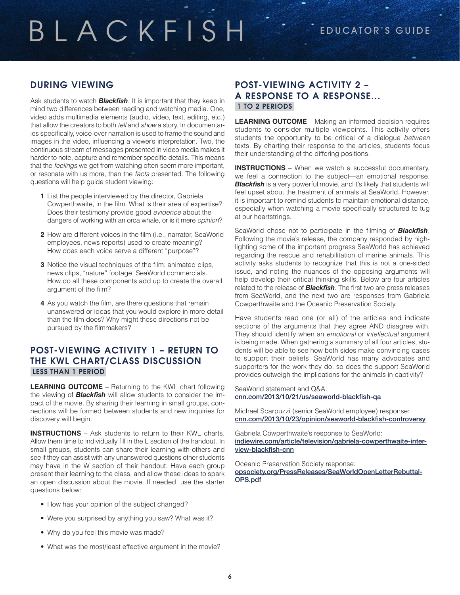## DURING VIEWING

Ask students to watch *Blackfish*. It is important that they keep in mind two differences between reading and watching media. One, video adds multimedia elements (audio, video, text, editing, etc.) that allow the creators to both *tell* and *show* a story. In documentaries specifically, voice-over narration is used to frame the sound and images in the video, influencing a viewer's interpretation. Two, the continuous stream of messages presented in video media makes it harder to note, capture and remember specific details. This means that the *feelings* we get from watching often seem more important, or resonate with us more, than the *facts* presented. The following questions will help guide student viewing:

- **1** List the people interviewed by the director, Gabriela Cowperthwaite, in the film. What is their area of expertise? Does their testimony provide good *evidence* about the dangers of working with an orca whale, or is it mere *opinion*?
- **2** How are different voices in the film (i.e., narrator, SeaWorld employees, news reports) used to create meaning? How does each voice serve a different "purpose"?
- **3** Notice the visual techniques of the film: animated clips, news clips, "nature" footage, SeaWorld commercials. How do all these components add up to create the overall argument of the film?
- **4** As you watch the film, are there questions that remain unanswered or ideas that you would explore in more detail than the film does? Why might these directions not be pursued by the filmmakers?

### POST-VIEWING ACTIVITY 1 – RETURN TO THE KWL CHART/CLASS DISCUSSION LESS THAN 1 PERIOD

**LEARNING OUTCOME** – Returning to the KWL chart following the viewing of *Blackfish* will allow students to consider the impact of the movie. By sharing their learning in small groups, connections will be formed between students and new inquiries for discovery will begin.

**INSTRUCTIONS** – Ask students to return to their KWL charts. Allow them time to individually fill in the L section of the handout. In small groups, students can share their learning with others and see if they can assist with any unanswered questions other students may have in the W section of their handout. Have each group present their learning to the class, and allow these ideas to spark an open discussion about the movie. If needed, use the starter questions below:

- How has your opinion of the subject changed?
- Were you surprised by anything you saw? What was it?
- Why do you feel this movie was made?
- What was the most/least effective argument in the movie?

### POST-VIEWING ACTIVITY 2 – A RESPONSE TO A RESPONSE... 1 TO 2 PERIODS

**LEARNING OUTCOME** – Making an informed decision requires students to consider multiple viewpoints. This activity offers students the opportunity to be critical of a dialogue *between* texts. By charting their response to the articles, students focus their understanding of the differing positions.

**INSTRUCTIONS** – When we watch a successful documentary, we feel a connection to the subject—an emotional response. **Blackfish** is a very powerful movie, and it's likely that students will feel upset about the treatment of animals at SeaWorld. However, it is important to remind students to maintain emotional distance, especially when watching a movie specifically structured to tug at our heartstrings.

SeaWorld chose not to participate in the filming of *Blackfish*. Following the movie's release, the company responded by highlighting some of the important progress SeaWorld has achieved regarding the rescue and rehabilitation of marine animals. This activity asks students to recognize that this is not a one-sided issue, and noting the nuances of the opposing arguments will help develop their critical thinking skills. Below are four articles related to the release of *Blackfish*. The first two are press releases from SeaWorld, and the next two are responses from Gabriela Cowperthwaite and the Oceanic Preservation Society.

Have students read one (or all) of the articles and indicate sections of the arguments that they agree AND disagree with. They should identify when an *emotional* or *intellectual* argument is being made. When gathering a summary of all four articles, students will be able to see how both sides make convincing cases to support their beliefs. SeaWorld has many advocates and supporters for the work they do, so does the support SeaWorld provides outweigh the implications for the animals in captivity?

SeaWorld statement and Q&A: [cnn.com/2013/10/21/us/seaworld-blackfish-qa](http://www.cnn.com/2013/10/21/us/seaworld-blackfish-qa/)

Michael Scarpuzzi (senior SeaWorld employee) response: [cnn.com/2013/10/23/opinion/seaworld-blackfish-controversy](http://www.cnn.com/2013/10/23/opinion/seaworld-blackfish-controversy/)

Gabriela Cowperthwaite's response to SeaWorld: [indiewire.com/article/television/gabriela-cowperthwaite-inter](http://www.indiewire.com/article/television/gabriela-cowperthwaite-interview-blackfish-cnn)[view-blackfish-cnn](http://www.indiewire.com/article/television/gabriela-cowperthwaite-interview-blackfish-cnn)

Oceanic Preservation Society response: [opsociety.org/PressReleases/SeaWorldOpenLetterRebuttal-](http://www.opsociety.org/PressReleases/SeaWorldOpenLetterRebuttal-OPS.pdf)[OPS.pdf](http://www.opsociety.org/PressReleases/SeaWorldOpenLetterRebuttal-OPS.pdf)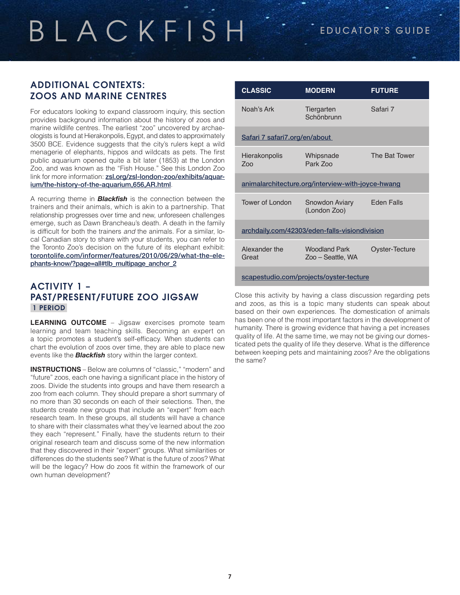### ADDITIONAL CONTEXTS: ZOOS AND MARINE CENTRES

For educators looking to expand classroom inquiry, this section provides background information about the history of zoos and marine wildlife centres. The earliest "zoo" uncovered by archaeologists is found at Hierakonpolis, Egypt, and dates to approximately 3500 BCE. Evidence suggests that the city's rulers kept a wild menagerie of elephants, hippos and wildcats as pets. The first public aquarium opened quite a bit later (1853) at the London Zoo, and was known as the "Fish House." See this London Zoo link for more information: [zsl.org/zsl-london-zoo/exhibits/aquar](https://www.zsl.org/zsl-london-zoo/exhibits/aquarium/the-history-of-the-aquarium,656,AR.html)[ium/the-history-of-the-aquarium,656,AR.html](https://www.zsl.org/zsl-london-zoo/exhibits/aquarium/the-history-of-the-aquarium,656,AR.html).

A recurring theme in *Blackfish* is the connection between the trainers and their animals, which is akin to a partnership. That relationship progresses over time and new, unforeseen challenges emerge, such as Dawn Brancheau's death. A death in the family is difficult for both the trainers *and* the animals. For a similar, local Canadian story to share with your students, you can refer to the Toronto Zoo's decision on the future of its elephant exhibit: [torontolife.com/informer/features/2010/06/29/what-the-ele](http://www.torontolife.com/informer/features/2010/06/29/what-the-elephants-know/?page=all#tlb_multipage_anchor_2)[phants-know/?page=all#tlb\\_multipage\\_anchor\\_2](http://www.torontolife.com/informer/features/2010/06/29/what-the-elephants-know/?page=all#tlb_multipage_anchor_2)

## ACTIVITY 1 – PAST/PRESENT/FUTURE ZOO JIGSAW 1 PERIOD

**LEARNING OUTCOME** – Jigsaw exercises promote team learning and team teaching skills. Becoming an expert on a topic promotes a student's self-efficacy. When students can chart the evolution of zoos over time, they are able to place new events like the *Blackfish* story within the larger context.

**INSTRUCTIONS** – Below are columns of "classic," "modern" and "future" zoos, each one having a significant place in the history of zoos. Divide the students into groups and have them research a zoo from each column. They should prepare a short summary of no more than 30 seconds on each of their selections. Then, the students create new groups that include an "expert" from each research team. In these groups, all students will have a chance to share with their classmates what they've learned about the zoo they each "represent." Finally, have the students return to their original research team and discuss some of the new information that they discovered in their "expert" groups. What similarities or differences do the students see? What is the future of zoos? What will be the legacy? How do zoos fit within the framework of our own human development?

| <b>CLASSIC</b>                                    | <b>MODERN</b>                             | <b>FUTURE</b>     |  |
|---------------------------------------------------|-------------------------------------------|-------------------|--|
| Noah's Ark                                        | Tiergarten<br>Schönbrunn                  | Safari 7          |  |
| Safari 7 safari7.org/en/about                     |                                           |                   |  |
| <b>Hierakonpolis</b><br>700                       | Whipsnade<br>Park Zoo                     | The Bat Tower     |  |
| animalarchitecture.org/interview-with-joyce-hwang |                                           |                   |  |
| Tower of London                                   | Snowdon Aviary<br>(London Zoo)            | <b>Fden Falls</b> |  |
| archdaily.com/42303/eden-falls-visiondivision     |                                           |                   |  |
| Alexander the<br>Great                            | <b>Woodland Park</b><br>Zoo – Seattle, WA | Oyster-Tecture    |  |
| scapestudio.com/projects/oyster-tecture           |                                           |                   |  |

Close this activity by having a class discussion regarding pets and zoos, as this is a topic many students can speak about based on their own experiences. The domestication of animals has been one of the most important factors in the development of humanity. There is growing evidence that having a pet increases quality of life. At the same time, we may not be giving our domesticated pets the quality of life they deserve. What is the difference between keeping pets and maintaining zoos? Are the obligations the same?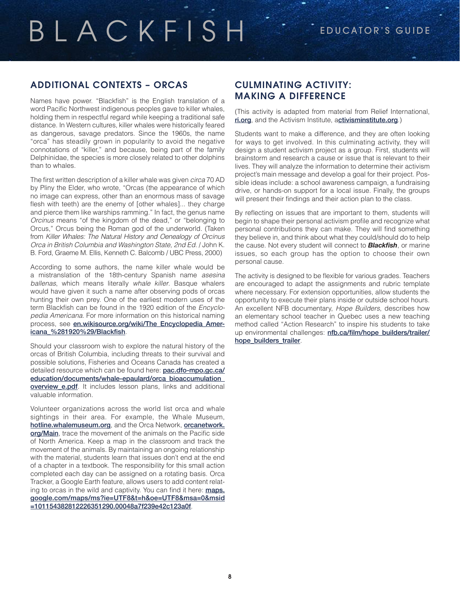## ADDITIONAL CONTEXTS – ORCAS

Names have power. "Blackfish" is the English translation of a word Pacific Northwest indigenous peoples gave to killer whales, holding them in respectful regard while keeping a traditional safe distance. In Western cultures, killer whales were historically feared as dangerous, savage predators. Since the 1960s, the name "orca" has steadily grown in popularity to avoid the negative connotations of "killer," and because, being part of the family Delphinidae, the species is more closely related to other dolphins than to whales.

The first written description of a killer whale was given *circa* 70 AD by Pliny the Elder, who wrote, "Orcas (the appearance of which no image can express, other than an enormous mass of savage flesh with teeth) are the enemy of [other whales]... they charge and pierce them like warships ramming." In fact, the genus name *Orcinus* means "of the kingdom of the dead," or "belonging to Orcus," Orcus being the Roman god of the underworld. (Taken from *Killer Whales: The Natural History and Oenealogy of Orcinus Orca in British Columbia and Washington State, 2nd Ed*. / John K. B. Ford, Graeme M. Ellis, Kenneth C. Balcomb / UBC Press, 2000)

According to some authors, the name killer whale would be a mistranslation of the 18th-century Spanish name *asesina ballenas*, which means literally *whale killer*. Basque whalers would have given it such a name after observing pods of orcas hunting their own prey. One of the earliest modern uses of the term Blackfish can be found in the 1920 edition of the *Encyclopedia Americana*. For more information on this historical naming process, see en.wikisource.org/wiki/The Encyclopedia Amer[icana\\_%281920%29/Blackfish](http://en.wikisource.org/wiki/The_Encyclopedia_Americana_%281920%29/Blackfish).

Should your classroom wish to explore the natural history of the orcas of British Columbia, including threats to their survival and possible solutions, Fisheries and Oceans Canada has created a detailed resource which can be found here: [pac.dfo-mpo.gc.ca/](http://www.pac.dfo-mpo.gc.ca/education/documents/whale-epaulard/orca_bioaccumulation_overview_e.pdf) [education/documents/whale-epaulard/orca\\_bioaccumulation\\_](http://www.pac.dfo-mpo.gc.ca/education/documents/whale-epaulard/orca_bioaccumulation_overview_e.pdf) overview e.pdf. It includes lesson plans, links and additional valuable information.

Volunteer organizations across the world list orca and whale sightings in their area. For example, the Whale Museum, [hotline.whalemuseum.org](http://hotline.whalemuseum.org/), and the Orca Network, [orcanetwork.](http://www.orcanetwork.org/Main/) [org/Main](http://www.orcanetwork.org/Main/), trace the movement of the animals on the Pacific side of North America. Keep a map in the classroom and track the movement of the animals. By maintaining an ongoing relationship with the material, students learn that issues don't end at the end of a chapter in a textbook. The responsibility for this small action completed each day can be assigned on a rotating basis. Orca Tracker, a Google Earth feature, allows users to add content relating to orcas in the wild and captivity. You can find it here: **[maps.](https://maps.google.com/maps/ms?ie=UTF8&t=h&oe=UTF8&msa=0&msid=101154382812226351290.00048a7f239e42c123a0f)** [google.com/maps/ms?ie=UTF8&t=h&oe=UTF8&msa=0&msid](https://maps.google.com/maps/ms?ie=UTF8&t=h&oe=UTF8&msa=0&msid=101154382812226351290.00048a7f239e42c123a0f) [=101154382812226351290.00048a7f239e42c123a0f](https://maps.google.com/maps/ms?ie=UTF8&t=h&oe=UTF8&msa=0&msid=101154382812226351290.00048a7f239e42c123a0f).

### CULMINATING ACTIVITY: MAKING A DIFFERENCE

(This activity is adapted from material from Relief International, [ri.org](http://www.ri.org/), and the Activism Institute, a[ctivisminstitute.org](http://www.activisminstitute.org).)

Students want to make a difference, and they are often looking for ways to get involved. In this culminating activity, they will design a student activism project as a group. First, students will brainstorm and research a cause or issue that is relevant to their lives. They will analyze the information to determine their activism project's main message and develop a goal for their project. Possible ideas include: a school awareness campaign, a fundraising drive, or hands-on support for a local issue. Finally, the groups will present their findings and their action plan to the class.

By reflecting on issues that are important to them, students will begin to shape their personal activism profile and recognize what personal contributions they can make. They will find something they believe in, and think about what they could/should do to help the cause. Not every student will connect to *Blackfish*, or marine issues, so each group has the option to choose their own personal cause.

The activity is designed to be flexible for various grades. Teachers are encouraged to adapt the assignments and rubric template where necessary. For extension opportunities, allow students the opportunity to execute their plans inside or outside school hours. An excellent NFB documentary, *Hope Builders*, describes how an elementary school teacher in Quebec uses a new teaching method called "Action Research" to inspire his students to take up environmental challenges: [nfb.ca/film/hope\\_builders/trailer/](http://www.nfb.ca/film/hope_builders/trailer/hope_builders_trailer) [hope\\_builders\\_trailer](http://www.nfb.ca/film/hope_builders/trailer/hope_builders_trailer).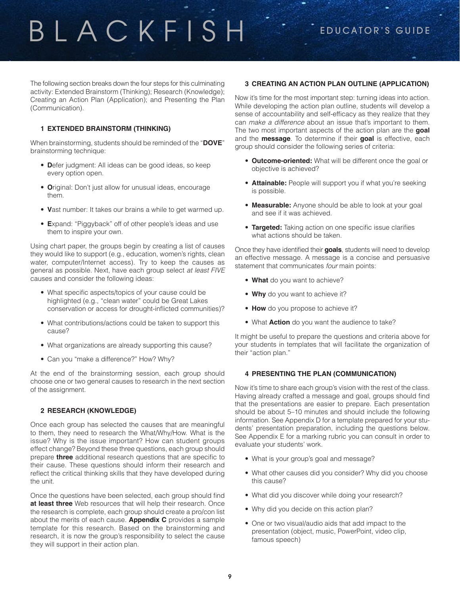The following section breaks down the four steps for this culminating activity: Extended Brainstorm (Thinking); Research (Knowledge); Creating an Action Plan (Application); and Presenting the Plan (Communication).

#### **1 EXTENDED BRAINSTORM (THINKING)**

When brainstorming, students should be reminded of the "**DOVE**" brainstorming technique:

- **D**efer judgment: All ideas can be good ideas, so keep every option open.
- **O**riginal: Don't just allow for unusual ideas, encourage them.
- **V**ast number: It takes our brains a while to get warmed up.
- **E**xpand: "Piggyback" off of other people's ideas and use them to inspire your own.

Using chart paper, the groups begin by creating a list of causes they would like to support (e.g., education, women's rights, clean water, computer/Internet access). Try to keep the causes as general as possible. Next, have each group select *at least FIVE*  causes and consider the following ideas:

- What specific aspects/topics of your cause could be highlighted (e.g., "clean water" could be Great Lakes conservation or access for drought-inflicted communities)?
- What contributions/actions could be taken to support this cause?
- What organizations are already supporting this cause?
- Can you "make a difference?" How? Why?

At the end of the brainstorming session, each group should choose one or two general causes to research in the next section of the assignment.

#### **2 RESEARCH (KNOWLEDGE)**

Once each group has selected the causes that are meaningful to them, they need to research the What/Why/How. What is the issue? Why is the issue important? How can student groups effect change? Beyond these three questions, each group should prepare **three** additional research questions that are specific to their cause. These questions should inform their research and reflect the critical thinking skills that they have developed during the unit.

Once the questions have been selected, each group should find **at least three** Web resources that will help their research. Once the research is complete, each group should create a pro/con list about the merits of each cause. **Appendix C** provides a sample template for this research. Based on the brainstorming and research, it is now the group's responsibility to select the cause they will support in their action plan.

#### **3 CREATING AN ACTION PLAN OUTLINE (APPLICATION)**

Now it's time for the most important step: turning ideas into action. While developing the action plan outline, students will develop a sense of accountability and self-efficacy as they realize that they can *make a difference* about an issue that's important to them. The two most important aspects of the action plan are the **goal** and the **message**. To determine if their **goal** is effective, each group should consider the following series of criteria:

- **Outcome-oriented:** What will be different once the goal or objective is achieved?
- **Attainable:** People will support you if what you're seeking is possible.
- • **Measurable:** Anyone should be able to look at your goal and see if it was achieved.
- **Targeted:** Taking action on one specific issue clarifies what actions should be taken.

Once they have identified their **goals**, students will need to develop an effective message. A message is a concise and persuasive statement that communicates *four* main points:

- **What** do you want to achieve?
- **Why** do you want to achieve it?
- **How** do you propose to achieve it?
- What **Action** do you want the audience to take?

It might be useful to prepare the questions and criteria above for your students in templates that will facilitate the organization of their "action plan."

#### **4 PRESENTING THE PLAN (COMMUNICATION)**

Now it's time to share each group's vision with the rest of the class. Having already crafted a message and goal, groups should find that the presentations are easier to prepare. Each presentation should be about 5–10 minutes and should include the following information. See Appendix D for a template prepared for your students' presentation preparation, including the questions below. See Appendix E for a marking rubric you can consult in order to evaluate your students' work.

- What is your group's goal and message?
- What other causes did you consider? Why did you choose this cause?
- What did you discover while doing your research?
- Why did you decide on this action plan?
- One or two visual/audio aids that add impact to the presentation (object, music, PowerPoint, video clip, famous speech)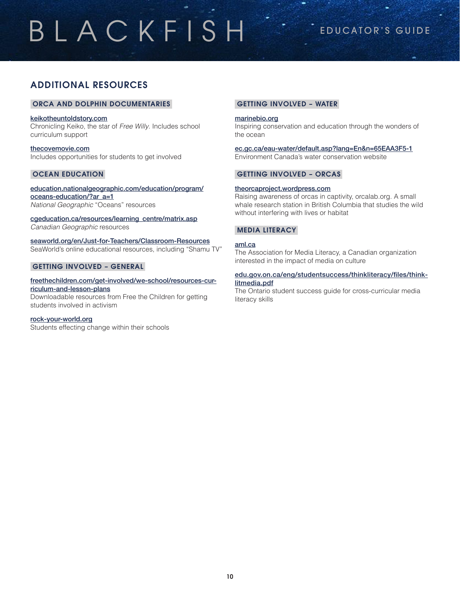## ADDITIONAL RESOURCES

#### ORCA AND DOLPHIN DOCUMENTARIES

#### [keikotheuntoldstory.com](http://www.keikotheuntoldstory.com/)

Chronicling Keiko, the star of *Free Willy*. Includes school curriculum support

[thecovemovie.com](http://www.thecovemovie.com/) Includes opportunities for students to get involved

#### OCEAN EDUCATION

[education.nationalgeographic.com/education/program/](http://education.nationalgeographic.com/education/program/oceans-education/?ar_a=1) [oceans-education/?ar\\_a=1](http://education.nationalgeographic.com/education/program/oceans-education/?ar_a=1) *National Geographic* "Oceans" resources

[cgeducation.ca/resources/learning\\_centre/matrix.asp](http://www.cgeducation.ca/resources/learning_centre/matrix.asp) *Canadian Geographic* resources

[seaworld.org/en/Just-for-Teachers/Classroom-Resources](http://seaworld.org/en/Just-for-Teachers/Classroom-Resources) SeaWorld's online educational resources, including "Shamu TV"

#### GETTING INVOLVED – GENERAL

#### [freethechildren.com/get-involved/we-school/resources-cur](http://www.freethechildren.com/get-involved/we-school/resources-curriculum-and-lesson-plans/)[riculum-and-lesson-plans](http://www.freethechildren.com/get-involved/we-school/resources-curriculum-and-lesson-plans/) Downloadable resources from Free the Children for getting students involved in activism

[rock-your-world.org](http://www.rock-your-world.org/)

Students effecting change within their schools

#### GETTING INVOLVED – WATER

#### [marinebio.org](http://marinebio.org/)

Inspiring conservation and education through the wonders of the ocean

[ec.gc.ca/eau-water/default.asp?lang=En&n=65EAA3F5-1](http://www.ec.gc.ca/eau-water/default.asp?lang=En&n=65EAA3F5-1) Environment Canada's water conservation website

#### GETTING INVOLVED – ORCAS

#### [theorcaproject.wordpress.com](http://theorcaproject.wordpress.com/)

Raising awareness of orcas in captivity, [orcalab.org.](http://orcalab.org/) A small whale research station in British Columbia that studies the wild without interfering with lives or habitat

#### MEDIA LITERACY

#### [aml.ca](http://www.aml.ca/)

The Association for Media Literacy, a Canadian organization interested in the impact of media on culture

#### [edu.gov.on.ca/eng/studentsuccess/thinkliteracy/files/think](http://www.edu.gov.on.ca/eng/studentsuccess/thinkliteracy/files/thinklitmedia.pdf)[litmedia.pdf](http://www.edu.gov.on.ca/eng/studentsuccess/thinkliteracy/files/thinklitmedia.pdf)

The Ontario student success guide for cross-curricular media literacy skills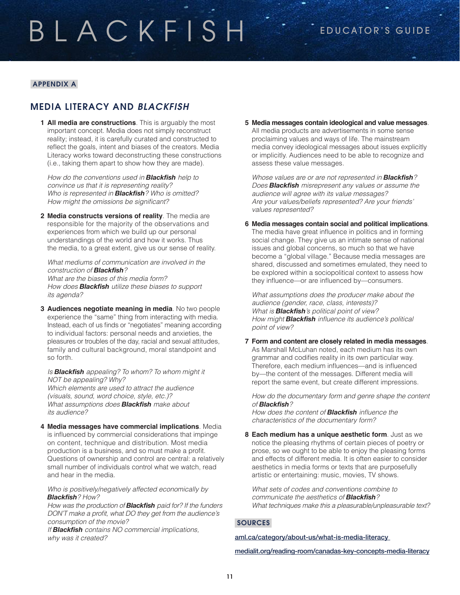#### APPENDIX A

## MEDIA LITERACY AND *BLACKFISH*

**1 All media are constructions**. This is arguably the most important concept. Media does not simply reconstruct reality; instead, it is carefully curated and constructed to reflect the goals, intent and biases of the creators. Media Literacy works toward deconstructing these constructions (i.e., taking them apart to show how they are made).

*How do the conventions used in Blackfish help to convince us that it is representing reality? Who is represented in Blackfish? Who is omitted?*  How might the omissions be significant?

**2 Media constructs versions of reality**. The media are responsible for the majority of the observations and experiences from which we build up our personal understandings of the world and how it works. Thus the media, to a great extent, give us our sense of reality.

*What mediums of communication are involved in the construction of Blackfish? What are the biases of this media form?* 

*How does Blackfish utilize these biases to support its agenda?*

**3 Audiences negotiate meaning in media**. No two people experience the "same" thing from interacting with media. Instead, each of us finds or "negotiates" meaning according to individual factors: personal needs and anxieties, the pleasures or troubles of the day, racial and sexual attitudes, family and cultural background, moral standpoint and so forth.

*Is Blackfish appealing? To whom? To whom might it NOT be appealing? Why? Which elements are used to attract the audience (visuals, sound, word choice, style, etc.)? What assumptions does Blackfish make about its audience?* 

**4 Media messages have commercial implications**. Media is influenced by commercial considerations that impinge on content, technique and distribution. Most media production is a business, and so must make a profit. Questions of ownership and control are central: a relatively small number of individuals control what we watch, read and hear in the media.

*Who is positively/negatively affected economically by Blackfish? How?*

*How was the production of Blackfish paid for? If the funders*  DON'T make a profit, what DO they get from the audience's *consumption of the movie?*

*If Blackfish contains NO commercial implications, why was it created?*

**5 Media messages contain ideological and value messages**. All media products are advertisements in some sense proclaiming values and ways of life. The mainstream media convey ideological messages about issues explicitly or implicitly. Audiences need to be able to recognize and assess these value messages.

*Whose values are or are not represented in Blackfish? Does Blackfish misrepresent any values or assume the audience will agree with its value messages? Are your values/beliefs represented? Are your friends' values represented?*

**6 Media messages contain social and political implications**. The media have great influence in politics and in forming social change. They give us an intimate sense of national issues and global concerns, so much so that we have become a "global village." Because media messages are shared, discussed and sometimes emulated, they need to be explored within a sociopolitical context to assess how they influence—or are influenced by—consumers.

*What assumptions does the producer make about the audience (gender, race, class, interests)? What is Blackfish's political point of view? How might Blackfish* influence its audience's political *point of view?*

#### **7 Form and content are closely related in media messages**.

As Marshall McLuhan noted, each medium has its own grammar and codifies reality in its own particular way. Therefore, each medium influences—and is influenced by—the content of the messages. Different media will report the same event, but create different impressions.

*How do the documentary form and genre shape the content of Blackfish?*

*How does the content of Blackfish* influence the *characteristics of the documentary form?*

**8 Each medium has a unique aesthetic form**. Just as we notice the pleasing rhythms of certain pieces of poetry or prose, so we ought to be able to enjoy the pleasing forms and effects of different media. It is often easier to consider aesthetics in media forms or texts that are purposefully artistic or entertaining: music, movies, TV shows.

*What sets of codes and conventions combine to communicate the aesthetics of Blackfish? What techniques make this a pleasurable/unpleasurable text?*

#### **SOURCES**

[aml.ca/category/about-us/what-is-media-literacy](http://www.aml.ca/category/about-us/what-is-media-literacy/)

[medialit.org/reading-room/canadas-key-concepts-media-literacy](http://www.medialit.org/reading-room/canadas-key-concepts-media-literacy)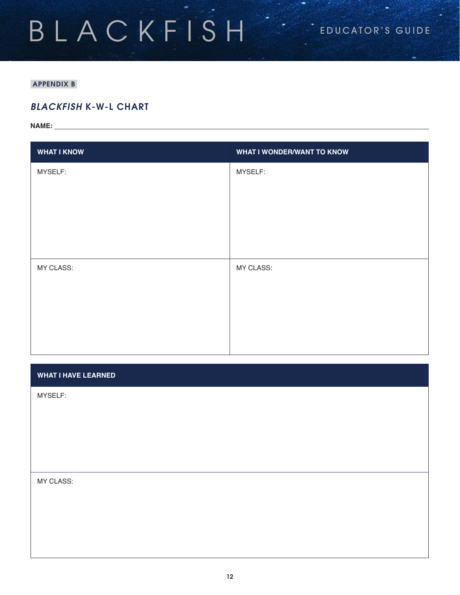### APPENDIX B

## *BLACKFISH* K-W-L CHART

**NAME:** 

| <b>WHAT I KNOW</b> | <b>WHAT I WONDER/WANT TO KNOW</b> |
|--------------------|-----------------------------------|
| MYSELF:            | MYSELF:                           |
|                    |                                   |
|                    |                                   |
|                    |                                   |
|                    |                                   |
| MY CLASS:          | MY CLASS:                         |
|                    |                                   |
|                    |                                   |
|                    |                                   |
|                    |                                   |

#### **WHAT I HAVE LEARNED**

MYSELF:

MY CLASS: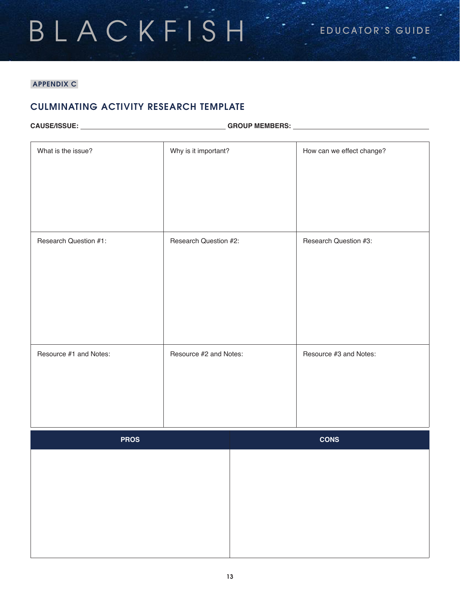## APPENDIX C

## CULMINATING ACTIVITY RESEARCH TEMPLATE

|  | <b>CAUSE/ISSUE:</b> |  |
|--|---------------------|--|
|  |                     |  |

**CAUSE/ISSUE: GROUP MEMBERS:** 

| What is the issue?     | Why is it important?   | How can we effect change? |
|------------------------|------------------------|---------------------------|
| Research Question #1:  | Research Question #2:  | Research Question #3:     |
| Resource #1 and Notes: | Resource #2 and Notes: | Resource #3 and Notes:    |
| <b>PROS</b>            |                        | <b>CONS</b>               |
|                        |                        |                           |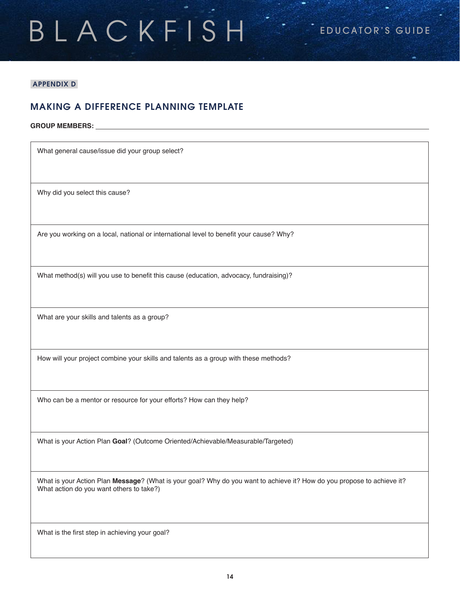## BLACKFISH<sup>"</sup> EDUCATOR'S GUIDE

#### APPENDIX D

## MAKING A DIFFERENCE PLANNING TEMPLATE

#### **GROUP MEMBERS:**

What general cause/issue did your group select?

Why did you select this cause?

Are you working on a local, national or international level to benefit your cause? Why?

What method(s) will you use to benefit this cause (education, advocacy, fundraising)?

What are your skills and talents as a group?

How will your project combine your skills and talents as a group with these methods?

Who can be a mentor or resource for your efforts? How can they help?

What is your Action Plan **Goal**? (Outcome Oriented/Achievable/Measurable/Targeted)

What is your Action Plan **Message**? (What is your goal? Why do you want to achieve it? How do you propose to achieve it? What action do you want others to take?)

What is the first step in achieving your goal?